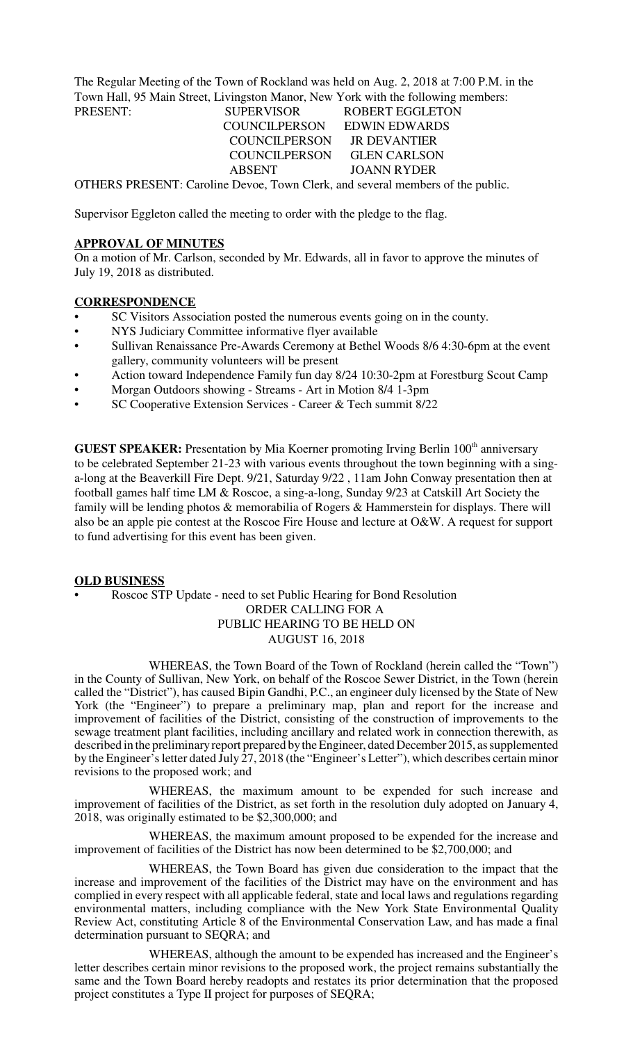The Regular Meeting of the Town of Rockland was held on Aug. 2, 2018 at 7:00 P.M. in the Town Hall, 95 Main Street, Livingston Manor, New York with the following members:

> COUNCILPERSON JR DEVANTIER COUNCILPERSON GLEN CARLSON ABSENT JOANN RYDER

PRESENT: SUPERVISOR ROBERT EGGLETON COUNCILPERSON EDWIN EDWARDS

OTHERS PRESENT: Caroline Devoe, Town Clerk, and several members of the public.

Supervisor Eggleton called the meeting to order with the pledge to the flag.

## **APPROVAL OF MINUTES**

On a motion of Mr. Carlson, seconded by Mr. Edwards, all in favor to approve the minutes of July 19, 2018 as distributed.

### **CORRESPONDENCE**

- SC Visitors Association posted the numerous events going on in the county.
- NYS Judiciary Committee informative flyer available
- Sullivan Renaissance Pre-Awards Ceremony at Bethel Woods 8/6 4:30-6pm at the event gallery, community volunteers will be present
- Action toward Independence Family fun day 8/24 10:30-2pm at Forestburg Scout Camp
- Morgan Outdoors showing Streams Art in Motion 8/4 1-3pm
- SC Cooperative Extension Services Career & Tech summit 8/22

**GUEST SPEAKER:** Presentation by Mia Koerner promoting Irving Berlin 100<sup>th</sup> anniversary to be celebrated September 21-23 with various events throughout the town beginning with a singa-long at the Beaverkill Fire Dept. 9/21, Saturday 9/22 , 11am John Conway presentation then at football games half time LM & Roscoe, a sing-a-long, Sunday 9/23 at Catskill Art Society the family will be lending photos & memorabilia of Rogers & Hammerstein for displays. There will also be an apple pie contest at the Roscoe Fire House and lecture at O&W. A request for support to fund advertising for this event has been given.

#### **OLD BUSINESS**

• Roscoe STP Update - need to set Public Hearing for Bond Resolution

# ORDER CALLING FOR A PUBLIC HEARING TO BE HELD ON AUGUST 16, 2018

WHEREAS, the Town Board of the Town of Rockland (herein called the "Town") in the County of Sullivan, New York, on behalf of the Roscoe Sewer District, in the Town (herein called the "District"), has caused Bipin Gandhi, P.C., an engineer duly licensed by the State of New York (the "Engineer") to prepare a preliminary map, plan and report for the increase and improvement of facilities of the District, consisting of the construction of improvements to the sewage treatment plant facilities, including ancillary and related work in connection therewith, as described in the preliminary report prepared by the Engineer, dated December 2015, as supplemented by the Engineer's letter dated July 27, 2018 (the "Engineer's Letter"), which describes certain minor revisions to the proposed work; and

WHEREAS, the maximum amount to be expended for such increase and improvement of facilities of the District, as set forth in the resolution duly adopted on January 4, 2018, was originally estimated to be \$2,300,000; and

WHEREAS, the maximum amount proposed to be expended for the increase and improvement of facilities of the District has now been determined to be \$2,700,000; and

WHEREAS, the Town Board has given due consideration to the impact that the increase and improvement of the facilities of the District may have on the environment and has complied in every respect with all applicable federal, state and local laws and regulations regarding environmental matters, including compliance with the New York State Environmental Quality Review Act, constituting Article 8 of the Environmental Conservation Law, and has made a final determination pursuant to SEQRA; and

WHEREAS, although the amount to be expended has increased and the Engineer's letter describes certain minor revisions to the proposed work, the project remains substantially the same and the Town Board hereby readopts and restates its prior determination that the proposed project constitutes a Type II project for purposes of SEQRA;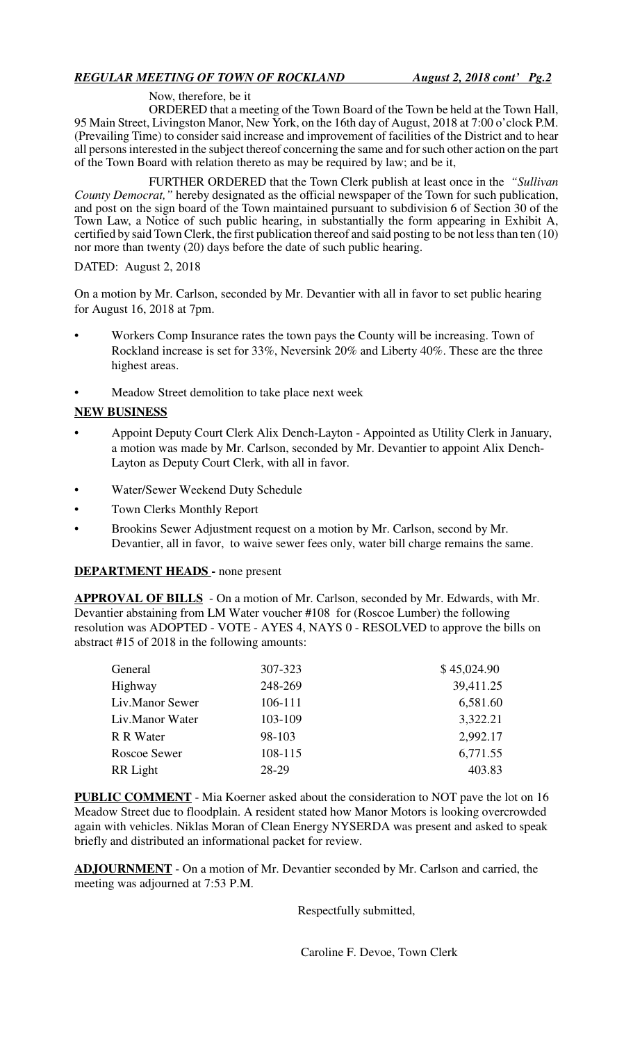## *REGULAR MEETING OF TOWN OF ROCKLAND August 2, 2018 cont' Pg.2*

Now, therefore, be it

ORDERED that a meeting of the Town Board of the Town be held at the Town Hall, 95 Main Street, Livingston Manor, New York, on the 16th day of August, 2018 at 7:00 o'clock P.M. (Prevailing Time) to consider said increase and improvement of facilities of the District and to hear all persons interested in the subject thereof concerning the same and for such other action on the part of the Town Board with relation thereto as may be required by law; and be it,

FURTHER ORDERED that the Town Clerk publish at least once in the *"Sullivan County Democrat,"* hereby designated as the official newspaper of the Town for such publication, and post on the sign board of the Town maintained pursuant to subdivision 6 of Section 30 of the Town Law, a Notice of such public hearing, in substantially the form appearing in Exhibit A, certified by said Town Clerk, the first publication thereof and said posting to be not less than ten (10) nor more than twenty (20) days before the date of such public hearing.

DATED: August 2, 2018

On a motion by Mr. Carlson, seconded by Mr. Devantier with all in favor to set public hearing for August 16, 2018 at 7pm.

- Workers Comp Insurance rates the town pays the County will be increasing. Town of Rockland increase is set for 33%, Neversink 20% and Liberty 40%. These are the three highest areas.
- Meadow Street demolition to take place next week

## **NEW BUSINESS**

- Appoint Deputy Court Clerk Alix Dench-Layton Appointed as Utility Clerk in January, a motion was made by Mr. Carlson, seconded by Mr. Devantier to appoint Alix Dench-Layton as Deputy Court Clerk, with all in favor.
- Water/Sewer Weekend Duty Schedule
- Town Clerks Monthly Report
- Brookins Sewer Adjustment request on a motion by Mr. Carlson, second by Mr. Devantier, all in favor, to waive sewer fees only, water bill charge remains the same.

## **DEPARTMENT HEADS -** none present

**APPROVAL OF BILLS** - On a motion of Mr. Carlson, seconded by Mr. Edwards, with Mr. Devantier abstaining from LM Water voucher #108 for (Roscoe Lumber) the following resolution was ADOPTED - VOTE - AYES 4, NAYS 0 - RESOLVED to approve the bills on abstract #15 of 2018 in the following amounts:

| General         | 307-323 | \$45,024.90 |
|-----------------|---------|-------------|
| Highway         | 248-269 | 39,411.25   |
| Liv.Manor Sewer | 106-111 | 6,581.60    |
| Liv.Manor Water | 103-109 | 3,322.21    |
| R R Water       | 98-103  | 2,992.17    |
| Roscoe Sewer    | 108-115 | 6,771.55    |
| RR Light        | 28-29   | 403.83      |

**PUBLIC COMMENT** - Mia Koerner asked about the consideration to NOT pave the lot on 16 Meadow Street due to floodplain. A resident stated how Manor Motors is looking overcrowded again with vehicles. Niklas Moran of Clean Energy NYSERDA was present and asked to speak briefly and distributed an informational packet for review.

**ADJOURNMENT** - On a motion of Mr. Devantier seconded by Mr. Carlson and carried, the meeting was adjourned at 7:53 P.M.

Respectfully submitted,